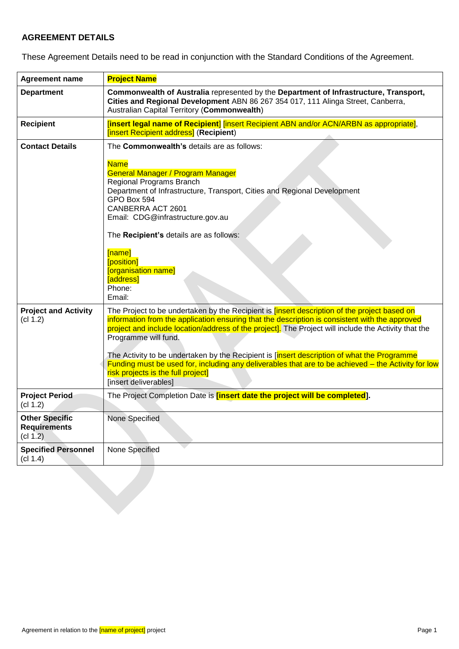# **AGREEMENT DETAILS**

These Agreement Details need to be read in conjunction with the Standard Conditions of the Agreement.

| <b>Agreement name</b>                                    | <b>Project Name</b>                                                                                                                                                                                                                                                                                                                                                                                                                                                                                                                                                                                        |
|----------------------------------------------------------|------------------------------------------------------------------------------------------------------------------------------------------------------------------------------------------------------------------------------------------------------------------------------------------------------------------------------------------------------------------------------------------------------------------------------------------------------------------------------------------------------------------------------------------------------------------------------------------------------------|
| <b>Department</b>                                        | Commonwealth of Australia represented by the Department of Infrastructure, Transport,<br>Cities and Regional Development ABN 86 267 354 017, 111 Alinga Street, Canberra,<br>Australian Capital Territory (Commonwealth)                                                                                                                                                                                                                                                                                                                                                                                   |
| <b>Recipient</b>                                         | [insert legal name of Recipient] [insert Recipient ABN and/or ACN/ARBN as appropriate],<br>[insert Recipient address] (Recipient)                                                                                                                                                                                                                                                                                                                                                                                                                                                                          |
| <b>Contact Details</b>                                   | The Commonwealth's details are as follows:                                                                                                                                                                                                                                                                                                                                                                                                                                                                                                                                                                 |
|                                                          | <b>Name</b><br><b>General Manager / Program Manager</b><br>Regional Programs Branch<br>Department of Infrastructure, Transport, Cities and Regional Development<br>GPO Box 594<br>CANBERRA ACT 2601<br>Email: CDG@infrastructure.gov.au<br>The Recipient's details are as follows:<br>[name]<br>[position]<br>[organisation name]<br>[address]<br>Phone:<br>Email:                                                                                                                                                                                                                                         |
| <b>Project and Activity</b><br>(cl 1.2)                  | The Project to be undertaken by the Recipient is <i>[insert description of the project based on</i><br>information from the application ensuring that the description is consistent with the approved<br>project and include location/address of the project]. The Project will include the Activity that the<br>Programme will fund.<br>The Activity to be undertaken by the Recipient is [insert description of what the Programme<br>Funding must be used for, including any deliverables that are to be achieved – the Activity for low<br>risk projects is the full project]<br>[insert deliverables] |
| <b>Project Period</b><br>(cl 1.2)                        | The Project Completion Date is <i>[insert date the project will be completed</i> ].                                                                                                                                                                                                                                                                                                                                                                                                                                                                                                                        |
| <b>Other Specific</b><br><b>Requirements</b><br>(cl 1.2) | None Specified                                                                                                                                                                                                                                                                                                                                                                                                                                                                                                                                                                                             |
| <b>Specified Personnel</b><br>(cl 1.4)                   | None Specified                                                                                                                                                                                                                                                                                                                                                                                                                                                                                                                                                                                             |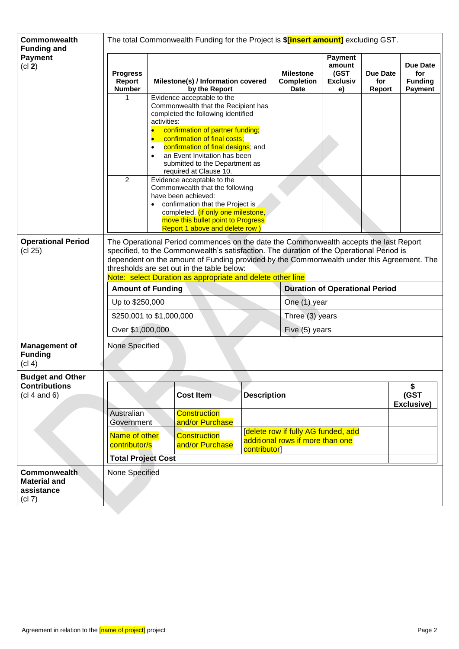| <b>Commonwealth</b><br><b>Funding and</b>                          | The total Commonwealth Funding for the Project is <b>\$[insert amount]</b> excluding GST.                                                                                                                                                                                                                                                                                                  |                                                                                                                           |                                                                                                                                                                                                                                                                                                                                                                                                                                                                                                                                                         |                    |                                                                         |                                             |                           |                                                            |  |
|--------------------------------------------------------------------|--------------------------------------------------------------------------------------------------------------------------------------------------------------------------------------------------------------------------------------------------------------------------------------------------------------------------------------------------------------------------------------------|---------------------------------------------------------------------------------------------------------------------------|---------------------------------------------------------------------------------------------------------------------------------------------------------------------------------------------------------------------------------------------------------------------------------------------------------------------------------------------------------------------------------------------------------------------------------------------------------------------------------------------------------------------------------------------------------|--------------------|-------------------------------------------------------------------------|---------------------------------------------|---------------------------|------------------------------------------------------------|--|
| <b>Payment</b><br>(cl 2)                                           | <b>Progress</b><br>Report<br><b>Number</b>                                                                                                                                                                                                                                                                                                                                                 | (GST<br><b>Milestone</b><br>Milestone(s) / Information covered<br><b>Completion</b><br><b>Date</b><br>by the Report<br>e) |                                                                                                                                                                                                                                                                                                                                                                                                                                                                                                                                                         |                    |                                                                         | <b>Payment</b><br>amount<br><b>Exclusiv</b> | Due Date<br>for<br>Report | <b>Due Date</b><br>for<br><b>Funding</b><br><b>Payment</b> |  |
|                                                                    | 1<br>$\overline{2}$                                                                                                                                                                                                                                                                                                                                                                        | activities:<br>$\bullet$<br>$\bullet$                                                                                     | Evidence acceptable to the<br>Commonwealth that the Recipient has<br>completed the following identified<br>confirmation of partner funding;<br>confirmation of final costs;<br>confirmation of final designs; and<br>an Event Invitation has been<br>submitted to the Department as<br>required at Clause 10.<br>Evidence acceptable to the<br>Commonwealth that the following<br>have been achieved:<br>confirmation that the Project is<br>completed. (if only one milestone,<br>move this bullet point to Progress<br>Report 1 above and delete row) |                    |                                                                         |                                             |                           |                                                            |  |
| <b>Operational Period</b><br>(cl 25)                               | The Operational Period commences on the date the Commonwealth accepts the last Report<br>specified, to the Commonwealth's satisfaction. The duration of the Operational Period is<br>dependent on the amount of Funding provided by the Commonwealth under this Agreement. The<br>thresholds are set out in the table below:<br>Note: select Duration as appropriate and delete other line |                                                                                                                           |                                                                                                                                                                                                                                                                                                                                                                                                                                                                                                                                                         |                    |                                                                         |                                             |                           |                                                            |  |
|                                                                    | <b>Amount of Funding</b>                                                                                                                                                                                                                                                                                                                                                                   |                                                                                                                           |                                                                                                                                                                                                                                                                                                                                                                                                                                                                                                                                                         |                    | <b>Duration of Operational Period</b>                                   |                                             |                           |                                                            |  |
|                                                                    | Up to \$250,000                                                                                                                                                                                                                                                                                                                                                                            |                                                                                                                           |                                                                                                                                                                                                                                                                                                                                                                                                                                                                                                                                                         |                    | One (1) year                                                            |                                             |                           |                                                            |  |
|                                                                    | \$250,001 to \$1,000,000                                                                                                                                                                                                                                                                                                                                                                   |                                                                                                                           |                                                                                                                                                                                                                                                                                                                                                                                                                                                                                                                                                         |                    |                                                                         | Three (3) years                             |                           |                                                            |  |
|                                                                    | Over \$1,000,000                                                                                                                                                                                                                                                                                                                                                                           |                                                                                                                           |                                                                                                                                                                                                                                                                                                                                                                                                                                                                                                                                                         |                    | Five (5) years                                                          |                                             |                           |                                                            |  |
| <b>Management of</b><br><b>Funding</b><br>(cl 4)                   | None Specified                                                                                                                                                                                                                                                                                                                                                                             |                                                                                                                           |                                                                                                                                                                                                                                                                                                                                                                                                                                                                                                                                                         |                    |                                                                         |                                             |                           |                                                            |  |
| <b>Budget and Other</b>                                            |                                                                                                                                                                                                                                                                                                                                                                                            |                                                                                                                           |                                                                                                                                                                                                                                                                                                                                                                                                                                                                                                                                                         |                    |                                                                         |                                             |                           |                                                            |  |
| <b>Contributions</b><br>(cl 4 and 6)                               |                                                                                                                                                                                                                                                                                                                                                                                            |                                                                                                                           | <b>Cost Item</b>                                                                                                                                                                                                                                                                                                                                                                                                                                                                                                                                        | <b>Description</b> |                                                                         |                                             |                           | \$<br>(GST<br>Exclusive)                                   |  |
|                                                                    | Australian<br>Government                                                                                                                                                                                                                                                                                                                                                                   |                                                                                                                           | <b>Construction</b><br>and/or Purchase                                                                                                                                                                                                                                                                                                                                                                                                                                                                                                                  |                    |                                                                         |                                             |                           |                                                            |  |
|                                                                    | Name of other<br><b>Construction</b><br>contributor/s<br>and/or Purchase<br>contributor]                                                                                                                                                                                                                                                                                                   |                                                                                                                           |                                                                                                                                                                                                                                                                                                                                                                                                                                                                                                                                                         |                    | [delete row if fully AG funded, add<br>additional rows if more than one |                                             |                           |                                                            |  |
|                                                                    | <b>Total Project Cost</b>                                                                                                                                                                                                                                                                                                                                                                  |                                                                                                                           |                                                                                                                                                                                                                                                                                                                                                                                                                                                                                                                                                         |                    |                                                                         |                                             |                           |                                                            |  |
| <b>Commonwealth</b><br><b>Material and</b><br>assistance<br>(cl 7) | None Specified                                                                                                                                                                                                                                                                                                                                                                             |                                                                                                                           |                                                                                                                                                                                                                                                                                                                                                                                                                                                                                                                                                         |                    |                                                                         |                                             |                           |                                                            |  |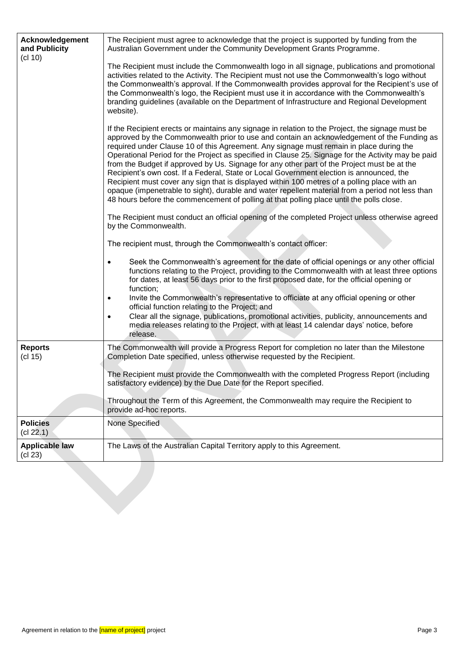| Acknowledgement<br>and Publicity<br>(cl 10) | The Recipient must agree to acknowledge that the project is supported by funding from the<br>Australian Government under the Community Development Grants Programme.                                                                                                                                                                                                                                                                                                                                                                                                                                                                                                                                                                                                                                                                                                                       |
|---------------------------------------------|--------------------------------------------------------------------------------------------------------------------------------------------------------------------------------------------------------------------------------------------------------------------------------------------------------------------------------------------------------------------------------------------------------------------------------------------------------------------------------------------------------------------------------------------------------------------------------------------------------------------------------------------------------------------------------------------------------------------------------------------------------------------------------------------------------------------------------------------------------------------------------------------|
|                                             | The Recipient must include the Commonwealth logo in all signage, publications and promotional<br>activities related to the Activity. The Recipient must not use the Commonwealth's logo without<br>the Commonwealth's approval. If the Commonwealth provides approval for the Recipient's use of<br>the Commonwealth's logo, the Recipient must use it in accordance with the Commonwealth's<br>branding guidelines (available on the Department of Infrastructure and Regional Development<br>website).                                                                                                                                                                                                                                                                                                                                                                                   |
|                                             | If the Recipient erects or maintains any signage in relation to the Project, the signage must be<br>approved by the Commonwealth prior to use and contain an acknowledgement of the Funding as<br>required under Clause 10 of this Agreement. Any signage must remain in place during the<br>Operational Period for the Project as specified in Clause 25. Signage for the Activity may be paid<br>from the Budget if approved by Us. Signage for any other part of the Project must be at the<br>Recipient's own cost. If a Federal, State or Local Government election is announced, the<br>Recipient must cover any sign that is displayed within 100 metres of a polling place with an<br>opaque (impenetrable to sight), durable and water repellent material from a period not less than<br>48 hours before the commencement of polling at that polling place until the polls close. |
|                                             | The Recipient must conduct an official opening of the completed Project unless otherwise agreed<br>by the Commonwealth.                                                                                                                                                                                                                                                                                                                                                                                                                                                                                                                                                                                                                                                                                                                                                                    |
|                                             | The recipient must, through the Commonwealth's contact officer:                                                                                                                                                                                                                                                                                                                                                                                                                                                                                                                                                                                                                                                                                                                                                                                                                            |
|                                             | Seek the Commonwealth's agreement for the date of official openings or any other official<br>$\bullet$<br>functions relating to the Project, providing to the Commonwealth with at least three options<br>for dates, at least 56 days prior to the first proposed date, for the official opening or<br>function;<br>Invite the Commonwealth's representative to officiate at any official opening or other<br>$\bullet$<br>official function relating to the Project; and                                                                                                                                                                                                                                                                                                                                                                                                                  |
|                                             | Clear all the signage, publications, promotional activities, publicity, announcements and<br>media releases relating to the Project, with at least 14 calendar days' notice, before<br>release.                                                                                                                                                                                                                                                                                                                                                                                                                                                                                                                                                                                                                                                                                            |
| <b>Reports</b><br>(cl 15)                   | The Commonwealth will provide a Progress Report for completion no later than the Milestone<br>Completion Date specified, unless otherwise requested by the Recipient.                                                                                                                                                                                                                                                                                                                                                                                                                                                                                                                                                                                                                                                                                                                      |
|                                             | The Recipient must provide the Commonwealth with the completed Progress Report (including<br>satisfactory evidence) by the Due Date for the Report specified.                                                                                                                                                                                                                                                                                                                                                                                                                                                                                                                                                                                                                                                                                                                              |
|                                             | Throughout the Term of this Agreement, the Commonwealth may require the Recipient to<br>provide ad-hoc reports.                                                                                                                                                                                                                                                                                                                                                                                                                                                                                                                                                                                                                                                                                                                                                                            |
| <b>Policies</b><br>(cl 22.1)                | None Specified                                                                                                                                                                                                                                                                                                                                                                                                                                                                                                                                                                                                                                                                                                                                                                                                                                                                             |
| <b>Applicable law</b><br>(cl 23)            | The Laws of the Australian Capital Territory apply to this Agreement.                                                                                                                                                                                                                                                                                                                                                                                                                                                                                                                                                                                                                                                                                                                                                                                                                      |
|                                             |                                                                                                                                                                                                                                                                                                                                                                                                                                                                                                                                                                                                                                                                                                                                                                                                                                                                                            |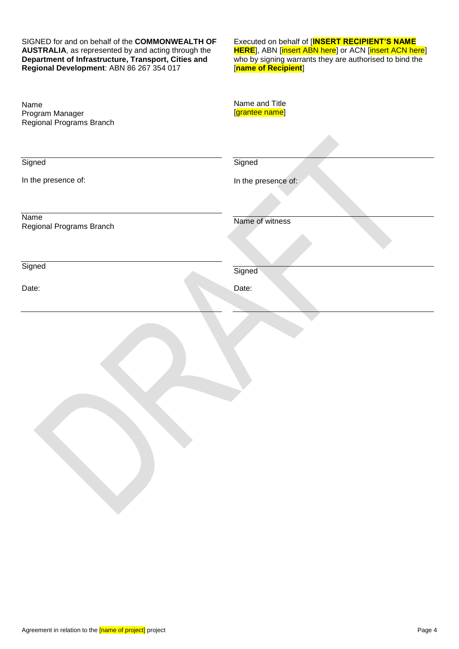SIGNED for and on behalf of the **COMMONWEALTH OF AUSTRALIA**, as represented by and acting through the **Department of Infrastructure, Transport, Cities and Regional Development**: ABN 86 267 354 017

Executed on behalf of [**INSERT RECIPIENT'S NAME HERE**], ABN [insert ABN here] or ACN [insert ACN here] who by signing warrants they are authorised to bind the [**name of Recipient**]

| Name<br>Program Manager<br>Regional Programs Branch | Name and Title<br>[grantee name] |
|-----------------------------------------------------|----------------------------------|
|                                                     |                                  |
| Signed                                              | Signed                           |
| In the presence of:                                 | In the presence of:              |
|                                                     |                                  |
| Name<br>Regional Programs Branch                    | Name of witness                  |
|                                                     |                                  |
| Signed                                              | Signed                           |
| Date:                                               | Date:                            |
|                                                     |                                  |
|                                                     |                                  |
|                                                     |                                  |
|                                                     |                                  |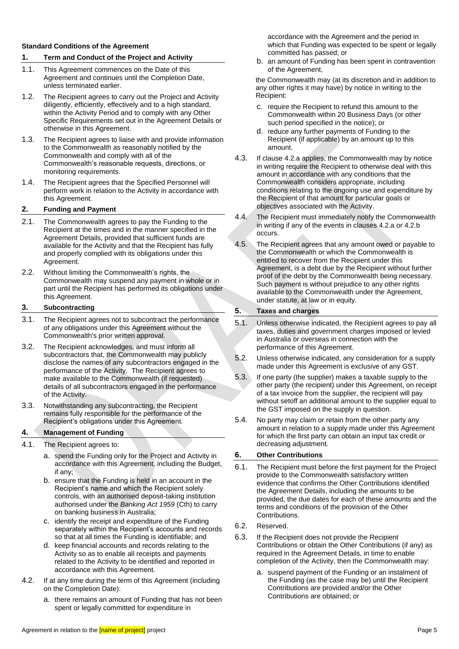#### **Standard Conditions of the Agreement**

### **1. Term and Conduct of the Project and Activity**

- 1.1. This Agreement commences on the Date of this Agreement and continues until the Completion Date, unless terminated earlier.
- <span id="page-4-0"></span>1.2. The Recipient agrees to carry out the Project and Activity diligently, efficiently, effectively and to a high standard, within the Activity Period and to comply with any Other Specific Requirements set out in the Agreement Details or otherwise in this Agreement.
- <span id="page-4-6"></span>1.3. The Recipient agrees to liaise with and provide information to the Commonwealth as reasonably notified by the Commonwealth and comply with all of the Commonwealth's reasonable requests, directions, or monitoring requirements.
- <span id="page-4-1"></span>1.4. The Recipient agrees that the Specified Personnel will perform work in relation to the Activity in accordance with this Agreement.

### <span id="page-4-2"></span>**2. Funding and Payment**

- 2.1. The Commonwealth agrees to pay the Funding to the Recipient at the times and in the manner specified in the Agreement Details, provided that sufficient funds are available for the Activity and that the Recipient has fully and properly complied with its obligations under this Agreement.
- 2.2. Without limiting the Commonwealth's rights, the Commonwealth may suspend any payment in whole or in part until the Recipient has performed its obligations under this Agreement.

## **3. Subcontracting**

- 3.1. The Recipient agrees not to subcontract the performance of any obligations under this Agreement without the Commonwealth's prior written approval.
- 3.2. The Recipient acknowledges, and must inform all subcontractors that, the Commonwealth may publicly disclose the names of any subcontractors engaged in the performance of the Activity. The Recipient agrees to make available to the Commonwealth (if requested) details of all subcontractors engaged in the performance of the Activity.
- 3.3. Notwithstanding any subcontracting, the Recipient remains fully responsible for the performance of the Recipient's obligations under this Agreement.

## <span id="page-4-3"></span>**4. Management of Funding**

### 4.1. The Recipient agrees to:

- a. spend the Funding only for the Project and Activity in accordance with this Agreement, including the Budget, if any;
- b. ensure that the Funding is held in an account in the Recipient's name and which the Recipient solely controls, with an authorised deposit-taking institution authorised under the *Banking Act 1959* (Cth) to carry on banking business in Australia;
- c. identify the receipt and expenditure of the Funding separately within the Recipient's accounts and records so that at all times the Funding is identifiable; and
- d. keep financial accounts and records relating to the Activity so as to enable all receipts and payments related to the Activity to be identified and reported in accordance with this Agreement.
- <span id="page-4-4"></span>4.2. If at any time during the term of this Agreement (including on the Completion Date):
	- a. there remains an amount of Funding that has not been spent or legally committed for expenditure in

accordance with the Agreement and the period in which that Funding was expected to be spent or legally committed has passed; or

<span id="page-4-5"></span>b. an amount of Funding has been spent in contravention of the Agreement,

the Commonwealth may (at its discretion and in addition to any other rights it may have) by notice in writing to the Recipient:

- c. require the Recipient to refund this amount to the Commonwealth within 20 Business Days (or other such period specified in the notice); or
- d. reduce any further payments of Funding to the Recipient (if applicable) by an amount up to this amount.
- 4.3. If clause [4.2.a](#page-4-4) applies, the Commonwealth may by notice in writing require the Recipient to otherwise deal with this amount in accordance with any conditions that the Commonwealth considers appropriate, including conditions relating to the ongoing use and expenditure by the Recipient of that amount for particular goals or objectives associated with the Activity.
- 4.4. The Recipient must immediately notify the Commonwealth in writing if any of the events in clause[s 4.2.a](#page-4-4) o[r 4.2.b](#page-4-5) occurs.
- 4.5. The Recipient agrees that any amount owed or payable to the Commonwealth or which the Commonwealth is entitled to recover from the Recipient under this Agreement, is a debt due by the Recipient without further proof of the debt by the Commonwealth being necessary. Such payment is without prejudice to any other rights available to the Commonwealth under the Agreement, under statute, at law or in equity.

## **5. Taxes and charges**

- 5.1. Unless otherwise indicated, the Recipient agrees to pay all taxes, duties and government charges imposed or levied in Australia or overseas in connection with the performance of this Agreement.
- 5.2. Unless otherwise indicated, any consideration for a supply made under this Agreement is exclusive of any GST.
- 5.3. If one party (the supplier) makes a taxable supply to the other party (the recipient) under this Agreement, on receipt of a tax invoice from the supplier, the recipient will pay without setoff an additional amount to the supplier equal to the GST imposed on the supply in question.
- 5.4. No party may claim or retain from the other party any amount in relation to a supply made under this Agreement for which the first party can obtain an input tax credit or decreasing adjustment.

## **6. Other Contributions**

- 6.1. The Recipient must before the first payment for the Project provide to the Commonwealth satisfactory written evidence that confirms the Other Contributions identified the Agreement Details, including the amounts to be provided, the due dates for each of these amounts and the terms and conditions of the provision of the Other Contributions.
- 6.2. Reserved.
- 6.3. If the Recipient does not provide the Recipient Contributions or obtain the Other Contributions (if any) as required in the Agreement Details, in time to enable completion of the Activity, then the Commonwealth may:
	- a. suspend payment of the Funding or an instalment of the Funding (as the case may be) until the Recipient Contributions are provided and/or the Other Contributions are obtained; or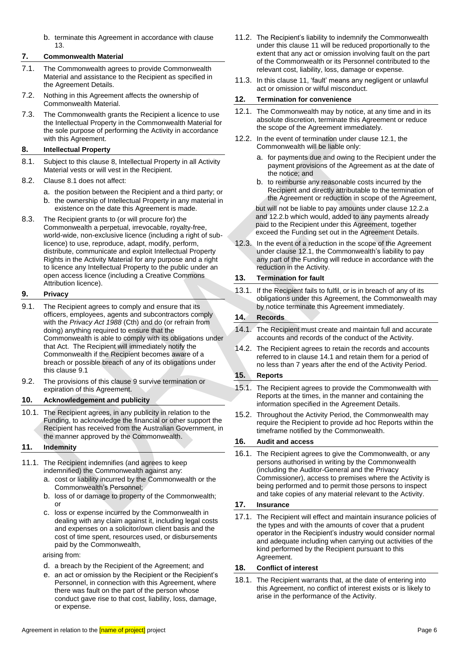b. terminate this Agreement in accordance with clause [13.](#page-5-2)

### <span id="page-5-0"></span>**7. Commonwealth Material**

- 7.1. The Commonwealth agrees to provide Commonwealth Material and assistance to the Recipient as specified in the Agreement Details.
- 7.2. Nothing in this Agreement affects the ownership of Commonwealth Material.
- 7.3. The Commonwealth grants the Recipient a licence to use the Intellectual Property in the Commonwealth Material for the sole purpose of performing the Activity in accordance with this Agreement.

### <span id="page-5-3"></span>**8. Intellectual Property**

- <span id="page-5-4"></span>8.1. Subject to this clause [8,](#page-5-3) Intellectual Property in all Activity Material vests or will vest in the Recipient.
- 8.2. Clause [8.1](#page-5-4) does not affect:
	- a. the position between the Recipient and a third party; or
	- b. the ownership of Intellectual Property in any material in existence on the date this Agreement is made.
- 8.3. The Recipient grants to (or will procure for) the Commonwealth a perpetual, irrevocable, royalty-free, world-wide, non-exclusive licence (including a right of sublicence) to use, reproduce, adapt, modify, perform, distribute, communicate and exploit Intellectual Property Rights in the Activity Material for any purpose and a right to licence any Intellectual Property to the public under an open access licence (including a Creative Commons Attribution licence).

## <span id="page-5-6"></span>**9. Privacy**

- <span id="page-5-5"></span>9.1. The Recipient agrees to comply and ensure that its officers, employees, agents and subcontractors comply with the *Privacy Act 1988* (Cth) and do (or refrain from doing) anything required to ensure that the Commonwealth is able to comply with its obligations under that Act. The Recipient will immediately notify the Commonwealth if the Recipient becomes aware of a breach or possible breach of any of its obligations under this claus[e 9.1](#page-5-5)
- 9.2. The provisions of this clause [9](#page-5-6) survive termination or expiration of this Agreement.

### **10. Acknowledgement and publicity**

10.1. The Recipient agrees, in any publicity in relation to the Funding, to acknowledge the financial or other support the Recipient has received from the Australian Government, in the manner approved by the Commonwealth.

## <span id="page-5-7"></span>**11. Indemnity**

- 11.1. The Recipient indemnifies (and agrees to keep indemnified) the Commonwealth against any:
	- a. cost or liability incurred by the Commonwealth or the Commonwealth's Personnel;
	- b. loss of or damage to property of the Commonwealth; or
	- c. loss or expense incurred by the Commonwealth in dealing with any claim against it, including legal costs and expenses on a solicitor/own client basis and the cost of time spent, resources used, or disbursements paid by the Commonwealth,

arising from:

- d. a breach by the Recipient of the Agreement; and
- e. an act or omission by the Recipient or the Recipient's Personnel, in connection with this Agreement, where there was fault on the part of the person whose conduct gave rise to that cost, liability, loss, damage, or expense.
- 11.2. The Recipient's liability to indemnify the Commonwealth under this claus[e 11](#page-5-7) will be reduced proportionally to the extent that any act or omission involving fault on the part of the Commonwealth or its Personnel contributed to the relevant cost, liability, loss, damage or expense.
- 11.3. In this clause [11,](#page-5-7) 'fault' means any negligent or unlawful act or omission or wilful misconduct.

## **12. Termination for convenience**

- <span id="page-5-8"></span>12.1. The Commonwealth may by notice, at any time and in its absolute discretion, terminate this Agreement or reduce the scope of the Agreement immediately.
- <span id="page-5-9"></span>12.2. In the event of termination under claus[e 12.1,](#page-5-8) the Commonwealth will be liable only:
	- a. for payments due and owing to the Recipient under the payment provisions of the Agreement as at the date of the notice; and
	- b. to reimburse any reasonable costs incurred by the Recipient and directly attributable to the termination of the Agreement or reduction in scope of the Agreement,

<span id="page-5-10"></span>but will not be liable to pay amounts under clause [12.2.a](#page-5-9) and [12.2.b](#page-5-10) which would, added to any payments already paid to the Recipient under this Agreement, together exceed the Funding set out in the Agreement Details.

12.3. In the event of a reduction in the scope of the Agreement under clause [12.1,](#page-5-8) the Commonwealth's liability to pay any part of the Funding will reduce in accordance with the reduction in the Activity.

## <span id="page-5-2"></span>**13. Termination for fault**

13.1. If the Recipient fails to fulfil, or is in breach of any of its obligations under this Agreement, the Commonwealth may by notice terminate this Agreement immediately.

### <span id="page-5-12"></span>**14. Records**

- <span id="page-5-11"></span>14.1. The Recipient must create and maintain full and accurate accounts and records of the conduct of the Activity.
- 14.2. The Recipient agrees to retain the records and accounts referred to in clause [14.1](#page-5-11) and retain them for a period of no less than 7 years after the end of the Activity Period.

### <span id="page-5-1"></span>**15. Reports**

- 15.1. The Recipient agrees to provide the Commonwealth with Reports at the times, in the manner and containing the information specified in the Agreement Details.
- 15.2. Throughout the Activity Period, the Commonwealth may require the Recipient to provide ad hoc Reports within the timeframe notified by the Commonwealth.

## <span id="page-5-13"></span>**16. Audit and access**

16.1. The Recipient agrees to give the Commonwealth, or any persons authorised in writing by the Commonwealth (including the Auditor-General and the Privacy Commissioner), access to premises where the Activity is being performed and to permit those persons to inspect and take copies of any material relevant to the Activity.

## <span id="page-5-14"></span>**17. Insurance**

17.1. The Recipient will effect and maintain insurance policies of the types and with the amounts of cover that a prudent operator in the Recipient's industry would consider normal and adequate including when carrying out activities of the kind performed by the Recipient pursuant to this Agreement.

### **18. Conflict of interest**

18.1. The Recipient warrants that, at the date of entering into this Agreement, no conflict of interest exists or is likely to arise in the performance of the Activity.